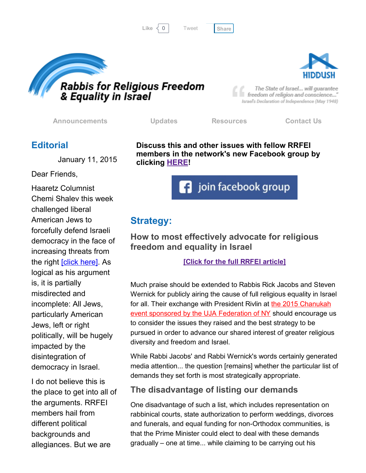```
Tweet
```




The State of Israel... will guarantee freedom of religion and conscience..." Israel's Declaration of Independence (May 1948)

[Announcements](http://rrfei.org/announcements/) [Updates](http://rrfei.org/about/rrfei-updates/) [Resources](http://rrfei.org/resources/) [Contact](http://rrfei.org/contact-us/) Us

## **Editorial**

January 11, 2015

Dear Friends,

Haaretz Columnist Chemi Shalev this week challenged liberal American Jews to forcefully defend Israeli democracy in the face of increasing threats from the right **[click here]**. As logical as his argument is, it is partially misdirected and incomplete: All Jews, particularly American Jews, left or right politically, will be hugely impacted by the disintegration of democracy in Israel.

I do not believe this is the place to get into all of the arguments. RRFEI members hail from different political backgrounds and allegiances. But we are

Discuss this and other issues with fellow RRFEI members in the network's new Facebook group by clicking **[HERE!](https://www.facebook.com/groups/132239560451232/)** 



# Strategy:

How to most effectively advocate for religious freedom and equality in Israel

#### [Click for the full RRFEI [article\]](http://rrfei.org/2016/01/strategy-how-to-most-effectively-advocate-for-religious-freedom-and-equality-in-israel/)

Much praise should be extended to Rabbis Rick Jacobs and Steven Wernick for publicly airing the cause of full religious equality in Israel for all. Their exchange with President Rivlin at the 2015 Chanukah event sponsored by the UJA [Federation](https://www.youtube.com/watch?v=kA8ZIaIGiQ0) of NY should encourage us to consider the issues they raised and the best strategy to be pursued in order to advance our shared interest of greater religious diversity and freedom and Israel.

While Rabbi Jacobs' and Rabbi Wernick's words certainly generated media attention... the question [remains] whether the particular list of demands they set forth is most strategically appropriate.

## The disadvantage of listing our demands

One disadvantage of such a list, which includes representation on rabbinical courts, state authorization to perform weddings, divorces and funerals, and equal funding for non-Orthodox communities, is that the Prime Minister could elect to deal with these demands gradually – one at time... while claiming to be carrying out his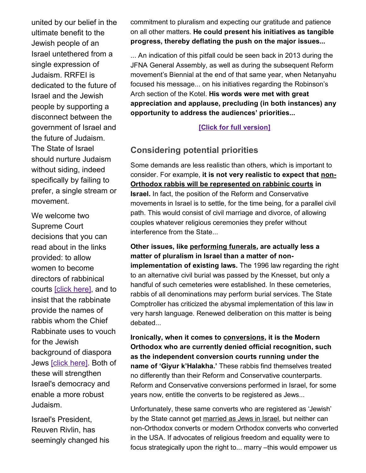united by our belief in the ultimate benefit to the Jewish people of an Israel untethered from a single expression of Judaism. RRFEI is dedicated to the future of Israel and the Jewish people by supporting a disconnect between the government of Israel and the future of Judaism. The State of Israel should nurture Judaism without siding, indeed specifically by failing to prefer, a single stream or movement.

We welcome two Supreme Court decisions that you can read about in the links provided: to allow women to become directors of rabbinical courts [click [here\]](http://www.jpost.com/Israel-News/High-Court-rules-women-can-apply-to-be-director-of-rabbinical-courts-440841), and to insist that the rabbinate provide the names of rabbis whom the Chief Rabbinate uses to vouch for the Jewish background of diaspora Jews [click [here\].](http://www.timesofisrael.com/rabbinate-ordered-to-make-public-its-list-of-acceptable-diaspora-rabbis/) Both of these will strengthen Israel's democracy and enable a more robust Judaism.

Israel's President, Reuven Rivlin, has seemingly changed his commitment to pluralism and expecting our gratitude and patience on all other matters. He could present his initiatives as tangible progress, thereby deflating the push on the major issues...

... An indication of this pitfall could be seen back in 2013 during the JFNA General Assembly, as well as during the subsequent Reform movement's Biennial at the end of that same year, when Netanyahu focused his message... on his initiatives regarding the Robinson's Arch section of the Kotel. His words were met with great appreciation and applause, precluding (in both instances) any opportunity to address the audiences' priorities...

[Click for full [version\]](http://rrfei.org/2016/01/strategy-how-to-most-effectively-advocate-for-religious-freedom-and-equality-in-israel/)

# Considering potential priorities

Some demands are less realistic than others, which is important to consider. For example, it is not very realistic to expect that non-Orthodox rabbis will be represented on rabbinic courts in Israel. In fact, the position of the Reform and Conservative movements in Israel is to settle, for the time being, for a parallel civil path. This would consist of civil marriage and divorce, of allowing couples whatever religious ceremonies they prefer without interference from the State...

### Other issues, like performing funerals, are actually less a matter of pluralism in Israel than a matter of nonimplementation of existing laws. The 1996 law regarding the right to an alternative civil burial was passed by the Knesset, but only a handful of such cemeteries were established. In these cemeteries, rabbis of all denominations may perform burial services. The State Comptroller has criticized the abysmal implementation of this law in very harsh language. Renewed deliberation on this matter is being debated...

Ironically, when it comes to conversions, it is the Modern Orthodox who are currently denied official recognition, such as the independent conversion courts running under the name of 'Giyur k'Halakha.' These rabbis find themselves treated no differently than their Reform and Conservative counterparts. Reform and Conservative conversions performed in Israel, for some years now, entitle the converts to be registered as Jews...

Unfortunately, these same converts who are registered as 'Jewish' by the State cannot get married as Jews in Israel, but neither can non-Orthodox converts or modern Orthodox converts who converted in the USA. If advocates of religious freedom and equality were to focus strategically upon the right to... marry –this would empower us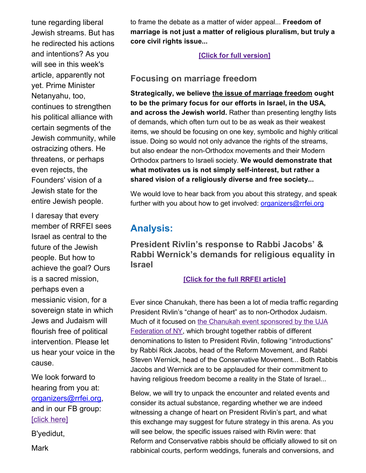tune regarding liberal Jewish streams. But has he redirected his actions and intentions? As you will see in this week's article, apparently not yet. Prime Minister Netanyahu, too, continues to strengthen his political alliance with certain segments of the Jewish community, while ostracizing others. He threatens, or perhaps even rejects, the Founders' vision of a Jewish state for the entire Jewish people.

I daresay that every member of RRFEI sees Israel as central to the future of the Jewish people. But how to achieve the goal? Ours is a sacred mission, perhaps even a messianic vision, for a sovereign state in which Jews and Judaism will flourish free of political intervention. Please let us hear your voice in the cause.

We look forward to hearing from you at: [organizers@rrfei.org,](mailto:organizers@rrfei.org) and in our FB group: [click [here\]](https://www.facebook.com/groups/132239560451232/)

B'yedidut,

**Mark** 

to frame the debate as a matter of wider appeal... Freedom of marriage is not just a matter of religious pluralism, but truly a core civil rights issue...

#### [Click for full [version\]](http://rrfei.org/2016/01/strategy-how-to-most-effectively-advocate-for-religious-freedom-and-equality-in-israel/)

## Focusing on marriage freedom

Strategically, we believe the issue of marriage freedom ought to be the primary focus for our efforts in Israel, in the USA, and across the Jewish world. Rather than presenting lengthy lists of demands, which often turn out to be as weak as their weakest items, we should be focusing on one key, symbolic and highly critical issue. Doing so would not only advance the rights of the streams, but also endear the non-Orthodox movements and their Modern Orthodox partners to Israeli society. We would demonstrate that what motivates us is not simply self-interest, but rather a shared vision of a religiously diverse and free society...

We would love to hear back from you about this strategy, and speak further with you about how to get involved: *[organizers@rrfei.org](mailto:organizers@rrfei.org)* 

# Analysis:

President Rivlin's response to Rabbi Jacobs' & Rabbi Wernick's demands for religious equality in Israel

#### [Click for the full RRFEI [article\]](http://rrfei.org/2016/01/analysis-president-rivlins-response-to-rabbi-jacobs-rabbi-wernicks-demands-for-religious-equality-in-israel/)

Ever since Chanukah, there has been a lot of media traffic regarding President Rivlin's "change of heart" as to non-Orthodox Judaism. Much of it focused on the Chanukah event sponsored by the UJA [Federation](https://www.youtube.com/watch?v=kA8ZIaIGiQ0) of NY, which brought together rabbis of different denominations to listen to President Rivlin, following "introductions" by Rabbi Rick Jacobs, head of the Reform Movement, and Rabbi Steven Wernick, head of the Conservative Movement... Both Rabbis Jacobs and Wernick are to be applauded for their commitment to having religious freedom become a reality in the State of Israel...

Below, we will try to unpack the encounter and related events and consider its actual substance, regarding whether we are indeed witnessing a change of heart on President Rivlin's part, and what this exchange may suggest for future strategy in this arena. As you will see below, the specific issues raised with Rivlin were: that Reform and Conservative rabbis should be officially allowed to sit on rabbinical courts, perform weddings, funerals and conversions, and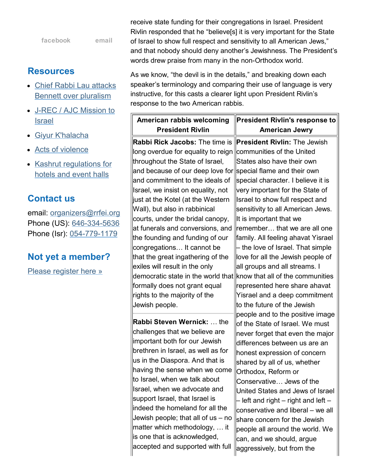| facebook | email |
|----------|-------|
|----------|-------|

## **Resources**

- Chief Rabbi Lau attacks Bennett over [pluralism](http://rrfei.org/resources/chief-rabbi-lau-slams-minister-bennett-winter-2015/)
- J-REC / AJC [Mission](http://rrfei.org/resources/ajc-j-rec-mission-to-israel-winter-2015/) to **Israel**
- Giyur [K'halacha](http://rrfei.org/resources/giyur-khalacha-summer-2015/)  $\bullet$
- Acts of [violence](http://rrfei.org/resources/acts-of-violence-summer-2015/)
- Kashrut [regulations](http://rrfei.org/resources/kashrut-regulations-for-hotels-spring-2015/) for hotels and event halls

## Contact us

email: [organizers@rrfei.org](mailto:organizers@rrfei.org) Phone (US): 646-334-5636 Phone (Isr): 054-779-1179

## Not yet a member?

Please [register](http://rrfei.org/about/registration/) here »

receive state funding for their congregations in Israel. President Rivlin responded that he "believe[s] it is very important for the State of Israel to show full respect and sensitivity to all American Jews," and that nobody should deny another's Jewishness. The President's words drew praise from many in the non-Orthodox world.

As we know, "the devil is in the details," and breaking down each speaker's terminology and comparing their use of language is very instructive, for this casts a clearer light upon President Rivlin's response to the two American rabbis.

| American rabbis welcoming                                                                                                                                                                                                                                                                                                                                                                                                                                                                | <b>President Rivlin's response to</b>                                                                                                                                                                                                                                                                                                                                                                                                                                                                         |
|------------------------------------------------------------------------------------------------------------------------------------------------------------------------------------------------------------------------------------------------------------------------------------------------------------------------------------------------------------------------------------------------------------------------------------------------------------------------------------------|---------------------------------------------------------------------------------------------------------------------------------------------------------------------------------------------------------------------------------------------------------------------------------------------------------------------------------------------------------------------------------------------------------------------------------------------------------------------------------------------------------------|
| <b>President Rivlin</b>                                                                                                                                                                                                                                                                                                                                                                                                                                                                  | <b>American Jewry</b>                                                                                                                                                                                                                                                                                                                                                                                                                                                                                         |
| Rabbi Rick Jacobs: The time is<br>long overdue for equality to reign<br>throughout the State of Israel,<br>and because of our deep love for<br>and commitment to the ideals of<br>Israel, we insist on equality, not<br>just at the Kotel (at the Western<br>Wall), but also in rabbinical<br>courts, under the bridal canopy,<br>at funerals and conversions, and                                                                                                                       | <b>President Rivlin: The Jewish</b><br>communities of the United<br>States also have their own<br>special flame and their own<br>special character. I believe it is<br>very important for the State of<br>Israel to show full respect and<br>sensitivity to all American Jews.<br>It is important that we<br>remember that we are all one                                                                                                                                                                     |
| the founding and funding of our<br>congregations It cannot be<br>that the great ingathering of the<br>exiles will result in the only<br>democratic state in the world that<br>formally does not grant equal<br>rights to the majority of the<br>Jewish people.                                                                                                                                                                                                                           | family. All feeling ahavat Yisrael<br>- the love of Israel. That simple<br>love for all the Jewish people of<br>all groups and all streams. I<br>know that all of the communities<br>represented here share ahavat<br>Yisrael and a deep commitment<br>to the future of the Jewish                                                                                                                                                                                                                            |
| Rabbi Steven Wernick:  the<br>challenges that we believe are<br>important both for our Jewish<br>brethren in Israel, as well as for<br>us in the Diaspora. And that is<br>having the sense when we come<br>to Israel, when we talk about<br>Israel, when we advocate and<br>support Israel, that Israel is<br>indeed the homeland for all the<br>Jewish people; that all of us – no<br>matter which methodology,  it<br>is one that is acknowledged,<br>accepted and supported with full | people and to the positive image<br>of the State of Israel. We must<br>never forget that even the major<br>differences between us are an<br>honest expression of concern<br>shared by all of us, whether<br>Orthodox, Reform or<br>Conservative Jews of the<br>United States and Jews of Israel<br>- left and right $-$ right and left $-$<br>conservative and liberal - we all<br>share concern for the Jewish<br>people all around the world. We<br>can, and we should, argue<br>aggressively, but from the |